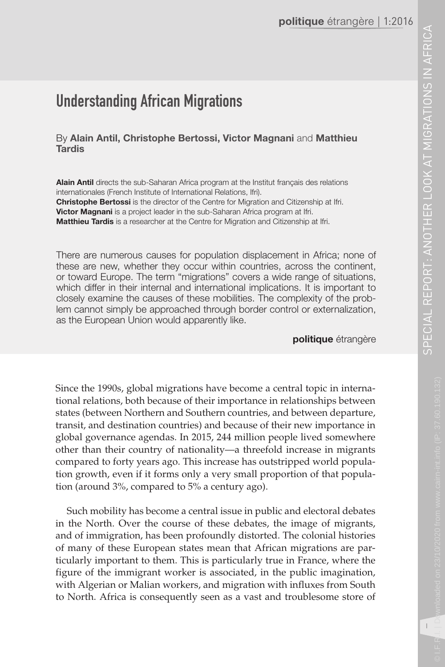# **Understanding African Migrations**

#### By **Alain Antil, Christophe Bertossi, Victor Magnani** and **Matthieu Tardis**

**Alain Antil** directs the sub-Saharan Africa program at the Institut français des relations internationales (French Institute of International Relations, Ifri). **Christophe Bertossi** is the director of the Centre for Migration and Citizenship at Ifri. **Victor Magnani** is a project leader in the sub-Saharan Africa program at Ifri. **Matthieu Tardis** is a researcher at the Centre for Migration and Citizenship at Ifri.

There are numerous causes for population displacement in Africa; none of these are new, whether they occur within countries, across the continent, or toward Europe. The term "migrations" covers a wide range of situations, which differ in their internal and international implications. It is important to closely examine the causes of these mobilities. The complexity of the problem cannot simply be approached through border control or externalization, as the European Union would apparently like.

**politique** étrangère

Since the 1990s, global migrations have become a central topic in international relations, both because of their importance in relationships between states (between Northern and Southern countries, and between departure, transit, and destination countries) and because of their new importance in global governance agendas. In 2015, 244 million people lived somewhere other than their country of nationality—a threefold increase in migrants compared to forty years ago. This increase has outstripped world population growth, even if it forms only a very small proportion of that population (around 3%, compared to 5% a century ago).

Such mobility has become a central issue in public and electoral debates in the North. Over the course of these debates, the image of migrants, and of immigration, has been profoundly distorted. The colonial histories of many of these European states mean that African migrations are particularly important to them. This is particularly true in France, where the figure of the immigrant worker is associated, in the public imagination, with Algerian or Malian workers, and migration with influxes from South to North. Africa is consequently seen as a vast and troublesome store of

 $\overline{\phantom{a}}$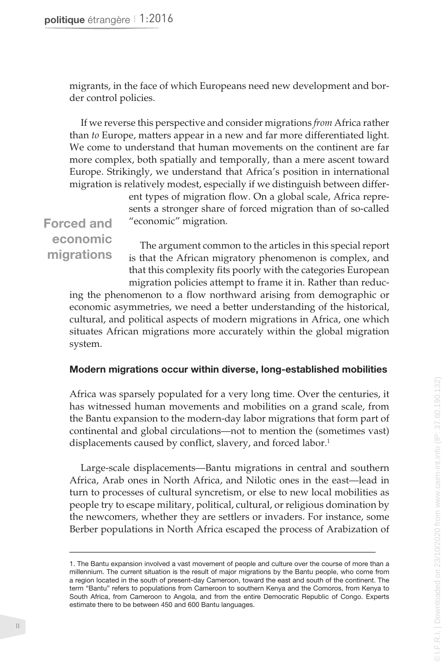migrants, in the face of which Europeans need new development and border control policies.

If we reverse this perspective and consider migrations *from* Africa rather than *to* Europe, matters appear in a new and far more differentiated light. We come to understand that human movements on the continent are far more complex, both spatially and temporally, than a mere ascent toward Europe. Strikingly, we understand that Africa's position in international migration is relatively modest, especially if we distinguish between differ-

> ent types of migration flow. On a global scale, Africa represents a stronger share of forced migration than of so-called "economic" migration.

# **Forced and economic migrations**

The argument common to the articles in this special report is that the African migratory phenomenon is complex, and that this complexity fits poorly with the categories European migration policies attempt to frame it in. Rather than reduc-

ing the phenomenon to a flow northward arising from demographic or economic asymmetries, we need a better understanding of the historical, cultural, and political aspects of modern migrations in Africa, one which situates African migrations more accurately within the global migration system.

#### **Modern migrations occur within diverse, long-established mobilities**

Africa was sparsely populated for a very long time. Over the centuries, it has witnessed human movements and mobilities on a grand scale, from the Bantu expansion to the modern-day labor migrations that form part of continental and global circulations—not to mention the (sometimes vast) displacements caused by conflict, slavery, and forced labor.<sup>1</sup>

Large-scale displacements—Bantu migrations in central and southern Africa, Arab ones in North Africa, and Nilotic ones in the east—lead in turn to processes of cultural syncretism, or else to new local mobilities as people try to escape military, political, cultural, or religious domination by the newcomers, whether they are settlers or invaders. For instance, some Berber populations in North Africa escaped the process of Arabization of

<sup>1.</sup> The Bantu expansion involved a vast movement of people and culture over the course of more than a millennium. The current situation is the result of major migrations by the Bantu people, who come from a region located in the south of present-day Cameroon, toward the east and south of the continent. The term "Bantu" refers to populations from Cameroon to southern Kenya and the Comoros, from Kenya to South Africa, from Cameroon to Angola, and from the entire Democratic Republic of Congo. Experts estimate there to be between 450 and 600 Bantu languages.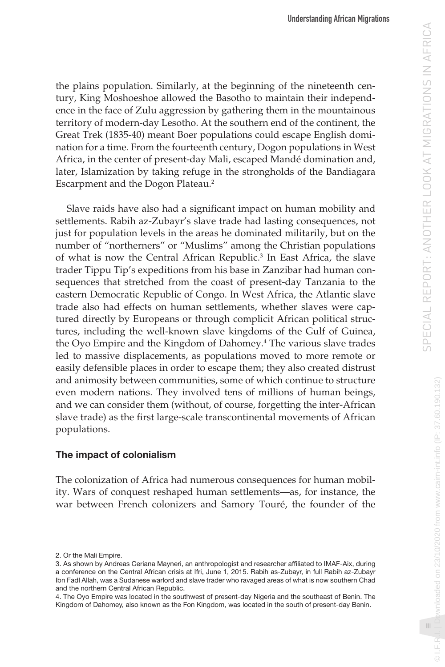the plains population. Similarly, at the beginning of the nineteenth century, King Moshoeshoe allowed the Basotho to maintain their independence in the face of Zulu aggression by gathering them in the mountainous territory of modern-day Lesotho. At the southern end of the continent, the Great Trek (1835-40) meant Boer populations could escape English domination for a time. From the fourteenth century, Dogon populations in West Africa, in the center of present-day Mali, escaped Mandé domination and, later, Islamization by taking refuge in the strongholds of the Bandiagara Escarpment and the Dogon Plateau.2

Slave raids have also had a significant impact on human mobility and settlements. Rabih az-Zubayr's slave trade had lasting consequences, not just for population levels in the areas he dominated militarily, but on the number of "northerners" or "Muslims" among the Christian populations of what is now the Central African Republic.<sup>3</sup> In East Africa, the slave trader Tippu Tip's expeditions from his base in Zanzibar had human consequences that stretched from the coast of present-day Tanzania to the eastern Democratic Republic of Congo. In West Africa, the Atlantic slave trade also had effects on human settlements, whether slaves were captured directly by Europeans or through complicit African political structures, including the well-known slave kingdoms of the Gulf of Guinea, the Oyo Empire and the Kingdom of Dahomey.<sup>4</sup> The various slave trades led to massive displacements, as populations moved to more remote or easily defensible places in order to escape them; they also created distrust and animosity between communities, some of which continue to structure even modern nations. They involved tens of millions of human beings, and we can consider them (without, of course, forgetting the inter-African slave trade) as the first large-scale transcontinental movements of African populations.

## **The impact of colonialism**

The colonization of Africa had numerous consequences for human mobility. Wars of conquest reshaped human settlements—as, for instance, the war between French colonizers and Samory Touré, the founder of the

 $\frac{1}{2}$ 

wnloaded on 23/10/2020 from www.cairn-int.info (IP: 37.60.190.132)

<sup>2.</sup> Or the Mali Empire.

<sup>3.</sup> As shown by Andreas Ceriana Mayneri, an anthropologist and researcher affiliated to IMAF-Aix, during a conference on the Central African crisis at Ifri, June 1, 2015. Rabih as-Zubayr, in full Rabih az-Zubayr Ibn Fadl Allah, was a Sudanese warlord and slave trader who ravaged areas of what is now southern Chad and the northern Central African Republic.

<sup>4.</sup> The Oyo Empire was located in the southwest of present-day Nigeria and the southeast of Benin. The Kingdom of Dahomey, also known as the Fon Kingdom, was located in the south of present-day Benin.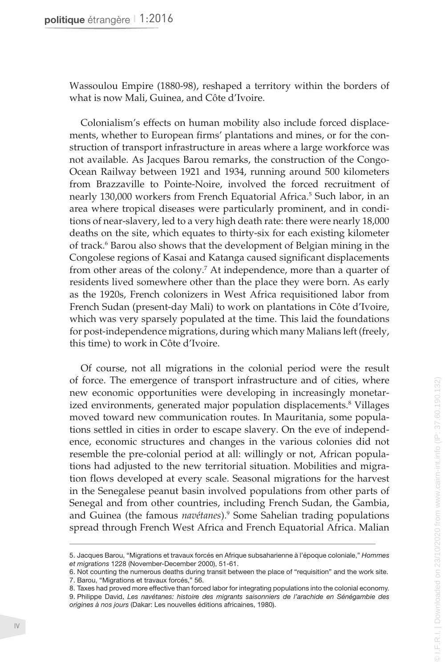Wassoulou Empire (1880-98), reshaped a territory within the borders of what is now Mali, Guinea, and Côte d'Ivoire.

Colonialism's effects on human mobility also include forced displacements, whether to European firms' plantations and mines, or for the construction of transport infrastructure in areas where a large workforce was not available. As Jacques Barou remarks, the construction of the Congo-Ocean Railway between 1921 and 1934, running around 500 kilometers from Brazzaville to Pointe-Noire, involved the forced recruitment of nearly 130,000 workers from French Equatorial Africa.<sup>5</sup> Such labor, in an area where tropical diseases were particularly prominent, and in conditions of near-slavery, led to a very high death rate: there were nearly 18,000 deaths on the site, which equates to thirty-six for each existing kilometer of track.<sup>6</sup> Barou also shows that the development of Belgian mining in the Congolese regions of Kasai and Katanga caused significant displacements from other areas of the colony.<sup>7</sup> At independence, more than a quarter of residents lived somewhere other than the place they were born. As early as the 1920s, French colonizers in West Africa requisitioned labor from French Sudan (present-day Mali) to work on plantations in Côte d'Ivoire, which was very sparsely populated at the time. This laid the foundations for post-independence migrations, during which many Malians left (freely, this time) to work in Côte d'Ivoire.

Of course, not all migrations in the colonial period were the result of force. The emergence of transport infrastructure and of cities, where new economic opportunities were developing in increasingly monetarized environments, generated major population displacements.<sup>8</sup> Villages moved toward new communication routes. In Mauritania, some populations settled in cities in order to escape slavery. On the eve of independence, economic structures and changes in the various colonies did not resemble the pre-colonial period at all: willingly or not, African populations had adjusted to the new territorial situation. Mobilities and migration flows developed at every scale. Seasonal migrations for the harvest in the Senegalese peanut basin involved populations from other parts of Senegal and from other countries, including French Sudan, the Gambia, and Guinea (the famous *navétanes*).9 Some Sahelian trading populations spread through French West Africa and French Equatorial Africa. Malian

<sup>5.</sup> Jacques Barou, "Migrations et travaux forcés en Afrique subsaharienne à l'époque coloniale," *Hommes et migrations* 1228 (November-December 2000), 51-61.

<sup>6.</sup> Not counting the numerous deaths during transit between the place of "requisition" and the work site.

<sup>7.</sup> Barou, "Migrations et travaux forcés," 56.

<sup>8.</sup> Taxes had proved more effective than forced labor for integrating populations into the colonial economy. 9. Philippe David, *Les navétanes: histoire des migrants saisonniers de l'arachide en Sénégambie des origines à nos jours* (Dakar: Les nouvelles éditions africaines, 1980).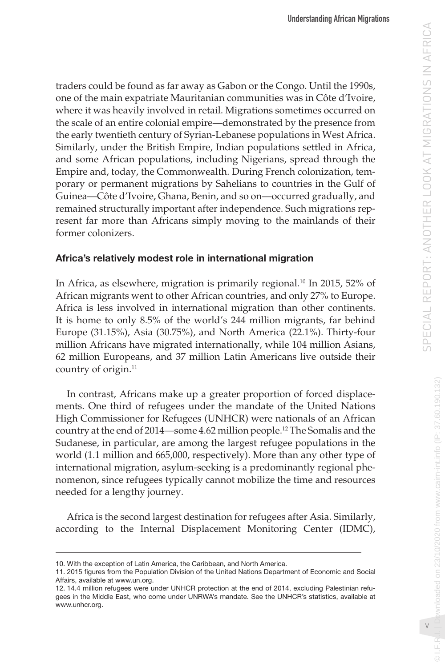traders could be found as far away as Gabon or the Congo. Until the 1990s, one of the main expatriate Mauritanian communities was in Côte d'Ivoire, where it was heavily involved in retail. Migrations sometimes occurred on the scale of an entire colonial empire—demonstrated by the presence from the early twentieth century of Syrian-Lebanese populations in West Africa. Similarly, under the British Empire, Indian populations settled in Africa, and some African populations, including Nigerians, spread through the Empire and, today, the Commonwealth. During French colonization, temporary or permanent migrations by Sahelians to countries in the Gulf of Guinea—Côte d'Ivoire, Ghana, Benin, and so on—occurred gradually, and remained structurally important after independence. Such migrations represent far more than Africans simply moving to the mainlands of their former colonizers.

### **Africa's relatively modest role in international migration**

In Africa, as elsewhere, migration is primarily regional.<sup>10</sup> In 2015, 52% of African migrants went to other African countries, and only 27% to Europe. Africa is less involved in international migration than other continents. It is home to only 8.5% of the world's 244 million migrants, far behind Europe (31.15%), Asia (30.75%), and North America (22.1%). Thirty-four million Africans have migrated internationally, while 104 million Asians, 62 million Europeans, and 37 million Latin Americans live outside their country of origin.<sup>11</sup>

In contrast, Africans make up a greater proportion of forced displacements. One third of refugees under the mandate of the United Nations High Commissioner for Refugees (UNHCR) were nationals of an African country at the end of 2014—some 4.62 million people.12 The Somalis and the Sudanese, in particular, are among the largest refugee populations in the world (1.1 million and 665,000, respectively). More than any other type of international migration, asylum-seeking is a predominantly regional phenomenon, since refugees typically cannot mobilize the time and resources needed for a lengthy journey.

Africa is the second largest destination for refugees after Asia. Similarly, according to the Internal Displacement Monitoring Center (IDMC),

 $@|F.|$ 

© I.F.R.I. | Downloaded on 23/10/2020 from www.cairn-int.info (IP: 37.60.190.132)

ownloaded on 23/10/2020 from www.cairn-int.info (IP: 37.60.190.132)

<sup>10.</sup> With the exception of Latin America, the Caribbean, and North America.

<sup>11. 2015</sup> figures from the Population Division of the United Nations Department of Economic and Social Affairs, available at www.un.org.

<sup>12. 14.4</sup> million refugees were under UNHCR protection at the end of 2014, excluding Palestinian refugees in the Middle East, who come under UNRWA's mandate. See the UNHCR's statistics, available at www.unhcr.org.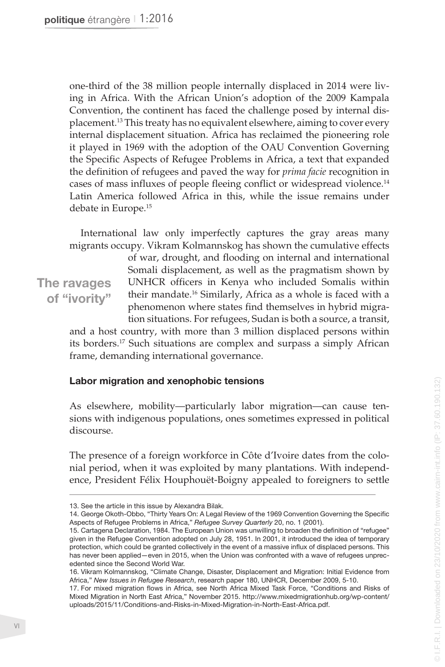one-third of the 38 million people internally displaced in 2014 were living in Africa. With the African Union's adoption of the 2009 Kampala Convention, the continent has faced the challenge posed by internal displacement.13 This treaty has no equivalent elsewhere, aiming to cover every internal displacement situation. Africa has reclaimed the pioneering role it played in 1969 with the adoption of the OAU Convention Governing the Specific Aspects of Refugee Problems in Africa, a text that expanded the definition of refugees and paved the way for *prima facie* recognition in cases of mass influxes of people fleeing conflict or widespread violence.14 Latin America followed Africa in this, while the issue remains under debate in Europe.15

International law only imperfectly captures the gray areas many migrants occupy. Vikram Kolmannskog has shown the cumulative effects of war, drought, and flooding on internal and international Somali displacement, as well as the pragmatism shown by UNHCR officers in Kenya who included Somalis within their mandate.16 Similarly, Africa as a whole is faced with a phenomenon where states find themselves in hybrid migration situations. For refugees, Sudan is both a source, a transit, **The ravages of "ivority"**

and a host country, with more than 3 million displaced persons within its borders.17 Such situations are complex and surpass a simply African frame, demanding international governance.

### **Labor migration and xenophobic tensions**

As elsewhere, mobility—particularly labor migration—can cause tensions with indigenous populations, ones sometimes expressed in political discourse.

The presence of a foreign workforce in Côte d'Ivoire dates from the colonial period, when it was exploited by many plantations. With independence, President Félix Houphouët-Boigny appealed to foreigners to settle

<sup>13.</sup> See the article in this issue by Alexandra Bilak.

<sup>14.</sup> George Okoth-Obbo, "Thirty Years On: A Legal Review of the 1969 Convention Governing the Specific Aspects of Refugee Problems in Africa," *Refugee Survey Quarterly* 20, no. 1 (2001).

<sup>15.</sup> Cartagena Declaration, 1984. The European Union was unwilling to broaden the definition of "refugee" given in the Refugee Convention adopted on July 28, 1951. In 2001, it introduced the idea of temporary protection, which could be granted collectively in the event of a massive influx of displaced persons. This has never been applied—even in 2015, when the Union was confronted with a wave of refugees unprecedented since the Second World War.

<sup>16.</sup> Vikram Kolmannskog, "Climate Change, Disaster, Displacement and Migration: Initial Evidence from Africa," *New Issues in Refugee Research*, research paper 180, UNHCR, December 2009, 5-10.

<sup>17.</sup> For mixed migration flows in Africa, see North Africa Mixed Task Force, "Conditions and Risks of Mixed Migration in North East Africa," November 2015. [http://www.mixedmigrationhub.org/wp-content/](http://www.mixedmigrationhub.org/wp-content/uploads/2015/11/Conditions-and-Risks-in-Mixed-Migration-in-North-East-Africa.pdf) [uploads/2015/11/Conditions-and-Risks-in-Mixed-Migration-in-North-East-Africa.pdf](http://www.mixedmigrationhub.org/wp-content/uploads/2015/11/Conditions-and-Risks-in-Mixed-Migration-in-North-East-Africa.pdf).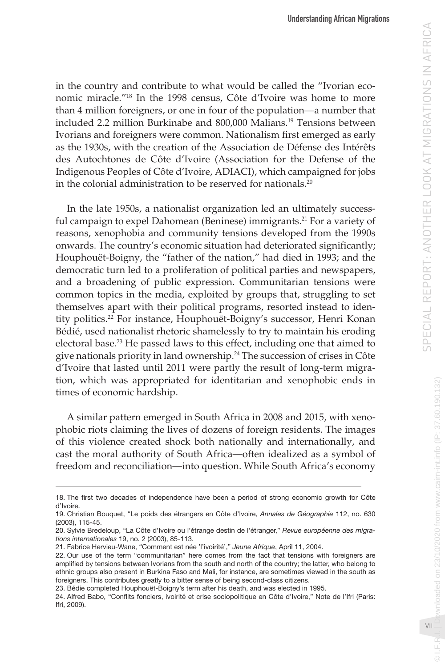in the country and contribute to what would be called the "Ivorian economic miracle."18 In the 1998 census, Côte d'Ivoire was home to more than 4 million foreigners, or one in four of the population—a number that included 2.2 million Burkinabe and 800,000 Malians.19 Tensions between Ivorians and foreigners were common. Nationalism first emerged as early as the 1930s, with the creation of the Association de Défense des Intérêts des Autochtones de Côte d'Ivoire (Association for the Defense of the Indigenous Peoples of Côte d'Ivoire, ADIACI), which campaigned for jobs in the colonial administration to be reserved for nationals.<sup>20</sup>

In the late 1950s, a nationalist organization led an ultimately successful campaign to expel Dahomean (Beninese) immigrants.<sup>21</sup> For a variety of reasons, xenophobia and community tensions developed from the 1990s onwards. The country's economic situation had deteriorated significantly; Houphouët-Boigny, the "father of the nation," had died in 1993; and the democratic turn led to a proliferation of political parties and newspapers, and a broadening of public expression. Communitarian tensions were common topics in the media, exploited by groups that, struggling to set themselves apart with their political programs, resorted instead to identity politics.<sup>22</sup> For instance, Houphouët-Boigny's successor, Henri Konan Bédié, used nationalist rhetoric shamelessly to try to maintain his eroding electoral base.23 He passed laws to this effect, including one that aimed to give nationals priority in land ownership.24 The succession of crises in Côte d'Ivoire that lasted until 2011 were partly the result of long-term migration, which was appropriated for identitarian and xenophobic ends in times of economic hardship.

A similar pattern emerged in South Africa in 2008 and 2015, with xenophobic riots claiming the lives of dozens of foreign residents. The images of this violence created shock both nationally and internationally, and cast the moral authority of South Africa—often idealized as a symbol of freedom and reconciliation—into question. While South Africa's economy

23. Bédie completed Houphouët-Boigny's term after his death, and was elected in 1995.

 $01.F.R.$ 

wriloaded on 23/10/2020 from www.cairn-int.info (IP: 37.60.190.132)

<sup>18.</sup> The first two decades of independence have been a period of strong economic growth for Côte d'Ivoire.

<sup>19.</sup> Christian Bouquet, "Le poids des étrangers en Côte d'Ivoire, *Annales de Géographie* 112, no. 630 (2003), 115-45.

<sup>20.</sup> Sylvie Bredeloup, "La Côte d'Ivoire ou l'étrange destin de l'étranger," *Revue européenne des migrations internationales* 19, no. 2 (2003), 85-113.

<sup>21.</sup> Fabrice Hervieu-Wane, "Comment est née 'l'ivoirité'," *Jeune Afrique*, April 11, 2004.

<sup>22.</sup> Our use of the term "communitarian" here comes from the fact that tensions with foreigners are amplified by tensions between Ivorians from the south and north of the country; the latter, who belong to ethnic groups also present in Burkina Faso and Mali, for instance, are sometimes viewed in the south as foreigners. This contributes greatly to a bitter sense of being second-class citizens.

<sup>24.</sup> Alfred Babo, "Conflits fonciers, ivoirité et crise sociopolitique en Côte d'Ivoire," Note de l'Ifri (Paris: Ifri, 2009).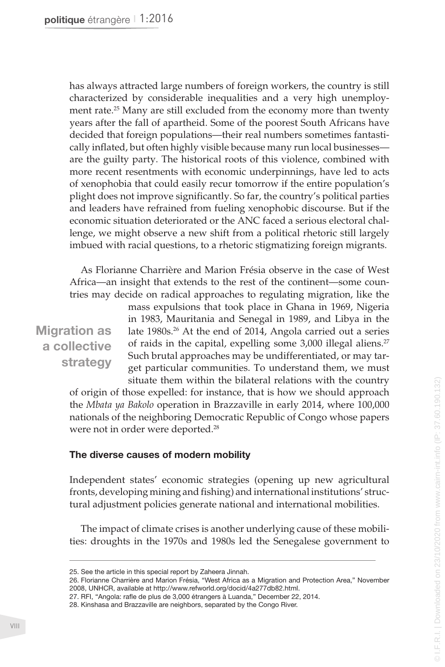has always attracted large numbers of foreign workers, the country is still characterized by considerable inequalities and a very high unemployment rate.<sup>25</sup> Many are still excluded from the economy more than twenty years after the fall of apartheid. Some of the poorest South Africans have decided that foreign populations—their real numbers sometimes fantastically inflated, but often highly visible because many run local businesses are the guilty party. The historical roots of this violence, combined with more recent resentments with economic underpinnings, have led to acts of xenophobia that could easily recur tomorrow if the entire population's plight does not improve significantly. So far, the country's political parties and leaders have refrained from fueling xenophobic discourse. But if the economic situation deteriorated or the ANC faced a serious electoral challenge, we might observe a new shift from a political rhetoric still largely imbued with racial questions, to a rhetoric stigmatizing foreign migrants.

As Florianne Charrière and Marion Frésia observe in the case of West Africa—an insight that extends to the rest of the continent—some countries may decide on radical approaches to regulating migration, like the

# **Migration as a collective strategy**

mass expulsions that took place in Ghana in 1969, Nigeria in 1983, Mauritania and Senegal in 1989, and Libya in the late 1980s.<sup>26</sup> At the end of 2014, Angola carried out a series of raids in the capital, expelling some 3,000 illegal aliens.27 Such brutal approaches may be undifferentiated, or may target particular communities. To understand them, we must situate them within the bilateral relations with the country

of origin of those expelled: for instance, that is how we should approach the *Mbata ya Bakolo* operation in Brazzaville in early 2014, where 100,000 nationals of the neighboring Democratic Republic of Congo whose papers were not in order were deported.28

### **The diverse causes of modern mobility**

Independent states' economic strategies (opening up new agricultural fronts, developing mining and fishing) and international institutions' structural adjustment policies generate national and international mobilities.

The impact of climate crises is another underlying cause of these mobilities: droughts in the 1970s and 1980s led the Senegalese government to

<sup>25.</sup> See the article in this special report by Zaheera Jinnah.

<sup>26.</sup> Florianne Charrière and Marion Frésia, "West Africa as a Migration and Protection Area," November 2008, UNHCR, available at [http://www.refworld.org/docid/4a277db82.html.](http://www.refworld.org/docid/4a277db82.html)

<sup>27.</sup> RFI, "Angola: rafle de plus de 3,000 étrangers à Luanda," December 22, 2014.

<sup>28.</sup> Kinshasa and Brazzaville are neighbors, separated by the Congo River.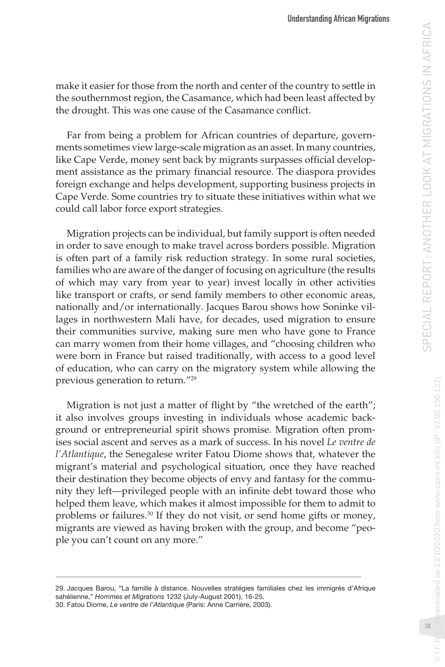make it easier for those from the north and center of the country to settle in the southernmost region, the Casamance, which had been least affected by the drought. This was one cause of the Casamance conflict.

Far from being a problem for African countries of departure, governments sometimes view large-scale migration as an asset. In many countries, like Cape Verde, money sent back by migrants surpasses official development assistance as the primary financial resource. The diaspora provides foreign exchange and helps development, supporting business projects in Cape Verde. Some countries try to situate these initiatives within what we could call labor force export strategies.

Migration projects can be individual, but family support is often needed in order to save enough to make travel across borders possible. Migration is often part of a family risk reduction strategy. In some rural societies, families who are aware of the danger of focusing on agriculture (the results of which may vary from year to year) invest locally in other activities like transport or crafts, or send family members to other economic areas, nationally and/or internationally. Jacques Barou shows how Soninke villages in northwestern Mali have, for decades, used migration to ensure their communities survive, making sure men who have gone to France can marry women from their home villages, and "choosing children who were born in France but raised traditionally, with access to a good level of education, who can carry on the migratory system while allowing the previous generation to return."29

Migration is not just a matter of flight by "the wretched of the earth"; it also involves groups investing in individuals whose academic background or entrepreneurial spirit shows promise. Migration often promises social ascent and serves as a mark of success. In his novel *Le ventre de l'Atlantique*, the Senegalese writer Fatou Diome shows that, whatever the migrant's material and psychological situation, once they have reached their destination they become objects of envy and fantasy for the community they left—privileged people with an infinite debt toward those who helped them leave, which makes it almost impossible for them to admit to problems or failures.<sup>30</sup> If they do not visit, or send home gifts or money, migrants are viewed as having broken with the group, and become "people you can't count on any more."

 $\odot$  l.F.

© I.F.R.I. | Downloaded on 23/10/2020 from www.cairn-int.info (IP: 37.60.190.132)

wnloaded on 23/10/2020 from www.cairn-int.info (IP: 37.60.190.132)

<sup>29.</sup> Jacques Barou, "La famille à distance. Nouvelles stratégies familiales chez les immigrés d'Afrique sahélienne," *Hommes et Migrations* 1232 (July-August 2001), 16-25.

<sup>30.</sup> Fatou Diome, *Le ventre de l'Atlantique* (Paris: Anne Carrière, 2003).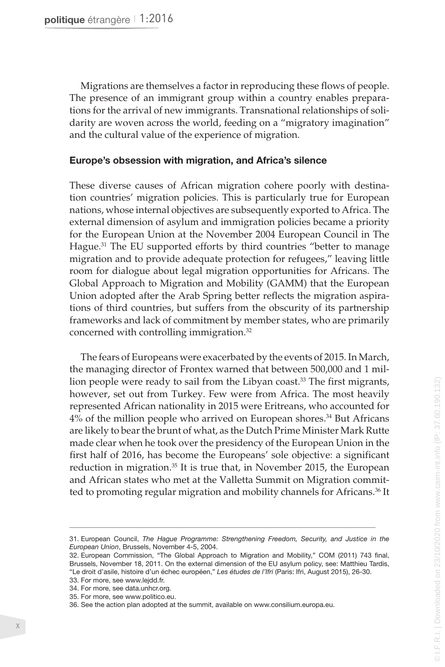Migrations are themselves a factor in reproducing these flows of people. The presence of an immigrant group within a country enables preparations for the arrival of new immigrants. Transnational relationships of solidarity are woven across the world, feeding on a "migratory imagination" and the cultural value of the experience of migration.

#### **Europe's obsession with migration, and Africa's silence**

These diverse causes of African migration cohere poorly with destination countries' migration policies. This is particularly true for European nations, whose internal objectives are subsequently exported to Africa. The external dimension of asylum and immigration policies became a priority for the European Union at the November 2004 European Council in The Hague.<sup>31</sup> The EU supported efforts by third countries "better to manage migration and to provide adequate protection for refugees," leaving little room for dialogue about legal migration opportunities for Africans. The Global Approach to Migration and Mobility (GAMM) that the European Union adopted after the Arab Spring better reflects the migration aspirations of third countries, but suffers from the obscurity of its partnership frameworks and lack of commitment by member states, who are primarily concerned with controlling immigration.32

The fears of Europeans were exacerbated by the events of 2015. In March, the managing director of Frontex warned that between 500,000 and 1 million people were ready to sail from the Libyan coast.<sup>33</sup> The first migrants, however, set out from Turkey. Few were from Africa. The most heavily represented African nationality in 2015 were Eritreans, who accounted for 4% of the million people who arrived on European shores.34 But Africans are likely to bear the brunt of what, as the Dutch Prime Minister Mark Rutte made clear when he took over the presidency of the European Union in the first half of 2016, has become the Europeans' sole objective: a significant reduction in migration.<sup>35</sup> It is true that, in November 2015, the European and African states who met at the Valletta Summit on Migration committed to promoting regular migration and mobility channels for Africans.<sup>36</sup> It

<sup>31.</sup> European Council, *The Hague Programme: Strengthening Freedom, Security, and Justice in the European Union*, Brussels, November 4-5, 2004.

<sup>32.</sup> European Commission, "The Global Approach to Migration and Mobility," COM (2011) 743 final, Brussels, November 18, 2011. On the external dimension of the EU asylum policy, see: Matthieu Tardis, "Le droit d'asile, histoire d'un échec européen," *Les études de l'Ifri* (Paris: Ifri, August 2015), 26-30.

<sup>33.</sup> For more, see www.lejdd.fr.

<sup>34.</sup> For more, see data.unhcr.org.

<sup>35.</sup> For more, see www.politico.eu.

<sup>36.</sup> See the action plan adopted at the summit, available on www.consilium.europa.eu.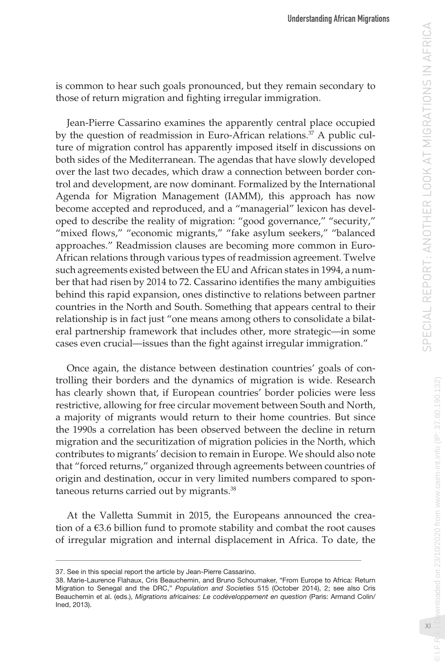is common to hear such goals pronounced, but they remain secondary to those of return migration and fighting irregular immigration.

Jean-Pierre Cassarino examines the apparently central place occupied by the question of readmission in Euro-African relations.<sup>37</sup> A public culture of migration control has apparently imposed itself in discussions on both sides of the Mediterranean. The agendas that have slowly developed over the last two decades, which draw a connection between border control and development, are now dominant. Formalized by the International Agenda for Migration Management (IAMM), this approach has now become accepted and reproduced, and a "managerial" lexicon has developed to describe the reality of migration: "good governance," "security," "mixed flows," "economic migrants," "fake asylum seekers," "balanced approaches." Readmission clauses are becoming more common in Euro-African relations through various types of readmission agreement. Twelve such agreements existed between the EU and African states in 1994, a number that had risen by 2014 to 72. Cassarino identifies the many ambiguities behind this rapid expansion, ones distinctive to relations between partner countries in the North and South. Something that appears central to their relationship is in fact just "one means among others to consolidate a bilateral partnership framework that includes other, more strategic—in some cases even crucial—issues than the fight against irregular immigration."

Once again, the distance between destination countries' goals of controlling their borders and the dynamics of migration is wide. Research has clearly shown that, if European countries' border policies were less restrictive, allowing for free circular movement between South and North, a majority of migrants would return to their home countries. But since the 1990s a correlation has been observed between the decline in return migration and the securitization of migration policies in the North, which contributes to migrants' decision to remain in Europe. We should also note that "forced returns," organized through agreements between countries of origin and destination, occur in very limited numbers compared to spontaneous returns carried out by migrants.<sup>38</sup>

At the Valletta Summit in 2015, the Europeans announced the creation of a  $63.6$  billion fund to promote stability and combat the root causes of irregular migration and internal displacement in Africa. To date, the

 $0$  I.F.R.I

© I.F.R.I. | Downloaded on 23/10/2020 from www.cairn-int.info (IP: 37.60.190.132)

bwnloaded on 23/10/2020 from www.cairn-int.info (IP: 37.60.190.132)

<sup>37.</sup> See in this special report the article by Jean-Pierre Cassarino.

<sup>38.</sup> Marie-Laurence Flahaux, Cris Beauchemin, and Bruno Schoumaker, "From Europe to Africa: Return Migration to Senegal and the DRC," *Population and Societies* 515 (October 2014), 2; see also Cris Beauchemin et al. (eds.), *Migrations africaines: Le codéveloppement en question* (Paris: Armand Colin/ Ined, 2013).